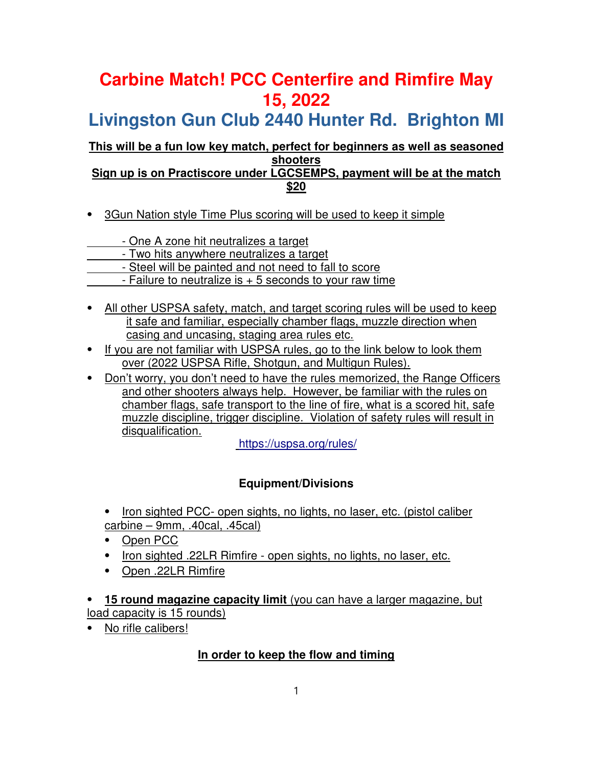# **Carbine Match! PCC Centerfire and Rimfire May 15, 2022**

**Livingston Gun Club 2440 Hunter Rd. Brighton MI**

#### **This will be a fun low key match, perfect for beginners as well as seasoned shooters Sign up is on Practiscore under LGCSEMPS, payment will be at the match**

**\$20**

⦁ 3Gun Nation style Time Plus scoring will be used to keep it simple

- One A zone hit neutralizes a target

- Two hits anywhere neutralizes a target

- Steel will be painted and not need to fall to score
- $-$  Failure to neutralize is  $+5$  seconds to your raw time
- ⦁ All other USPSA safety, match, and target scoring rules will be used to keep it safe and familiar, especially chamber flags, muzzle direction when casing and uncasing, staging area rules etc.
- If you are not familiar with USPSA rules, go to the link below to look them over (2022 USPSA Rifle, Shotgun, and Multigun Rules).
- ⦁ Don't worry, you don't need to have the rules memorized, the Range Officers and other shooters always help. However, be familiar with the rules on chamber flags, safe transport to the line of fire, what is a scored hit, safe muzzle discipline, trigger discipline. Violation of safety rules will result in disqualification.

https://uspsa.org/rules/

# **Equipment/Divisions**

- ⦁ Iron sighted PCC- open sights, no lights, no laser, etc. (pistol caliber carbine – 9mm, .40cal, .45cal)
- ⦁ Open PCC
- ⦁ Iron sighted .22LR Rimfire open sights, no lights, no laser, etc.
- ⦁ Open .22LR Rimfire

⦁ **15 round magazine capacity limit** (you can have a larger magazine, but load capacity is 15 rounds)

No rifle calibers!

### **In order to keep the flow and timing**